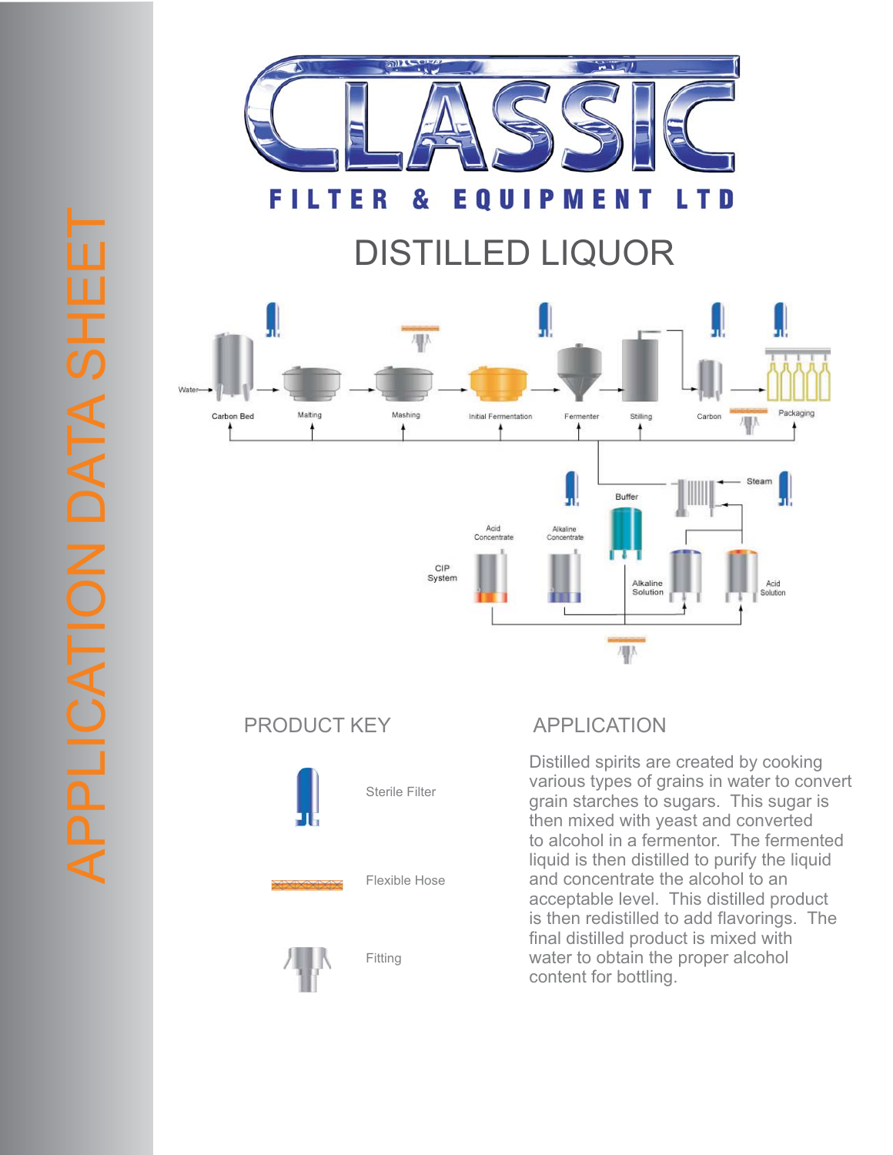

## DISTILLED LIQUOR



## PRODUCT KEY APPLICATION



Distilled spirits are created by cooking various types of grains in water to convert grain starches to sugars. This sugar is then mixed with yeast and converted to alcohol in a fermentor. The fermented liquid is then distilled to purify the liquid and concentrate the alcohol to an acceptable level. This distilled product is then redistilled to add flavorings. The final distilled product is mixed with water to obtain the proper alcohol content for bottling.